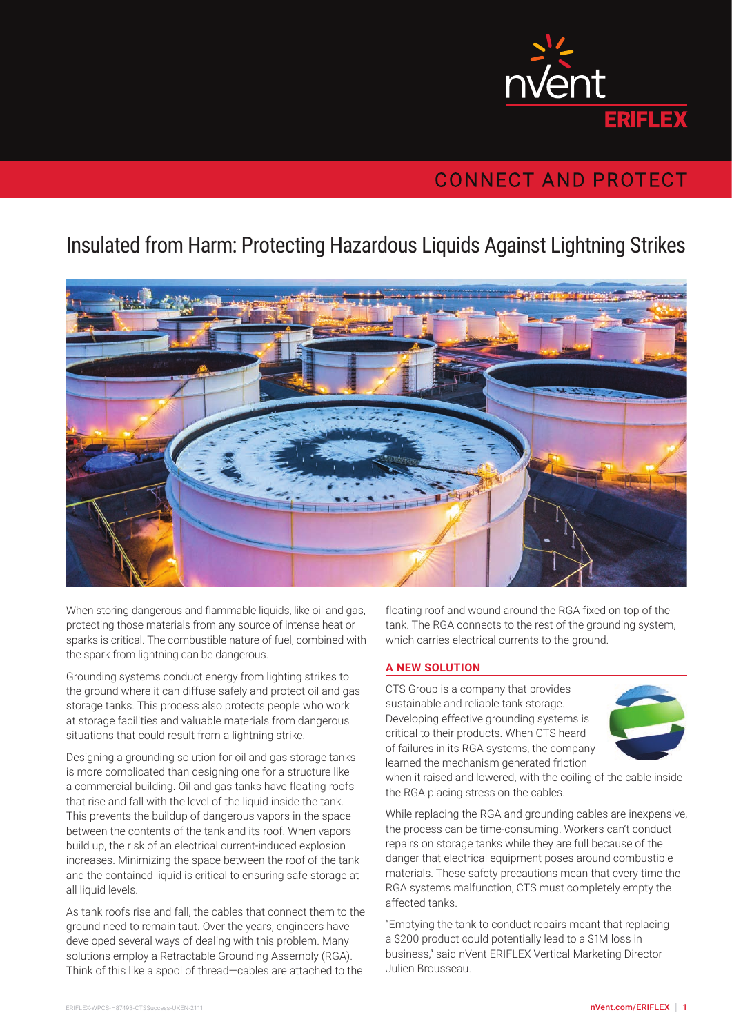

## **CONNECT AND PROTECT**

## Insulated from Harm: Protecting Hazardous Liquids Against Lightning Strikes



When storing dangerous and flammable liquids, like oil and gas, protecting those materials from any source of intense heat or sparks is critical. The combustible nature of fuel, combined with the spark from lightning can be dangerous.

Grounding systems conduct energy from lighting strikes to the ground where it can diffuse safely and protect oil and gas storage tanks. This process also protects people who work at storage facilities and valuable materials from dangerous situations that could result from a lightning strike.

Designing a grounding solution for oil and gas storage tanks is more complicated than designing one for a structure like a commercial building. Oil and gas tanks have floating roofs that rise and fall with the level of the liquid inside the tank. This prevents the buildup of dangerous vapors in the space between the contents of the tank and its roof. When vapors build up, the risk of an electrical current-induced explosion increases. Minimizing the space between the roof of the tank and the contained liquid is critical to ensuring safe storage at all liquid levels.

As tank roofs rise and fall, the cables that connect them to the ground need to remain taut. Over the years, engineers have developed several ways of dealing with this problem. Many solutions employ a Retractable Grounding Assembly (RGA). Think of this like a spool of thread—cables are attached to the

floating roof and wound around the RGA fixed on top of the tank. The RGA connects to the rest of the grounding system, which carries electrical currents to the ground.

## **A NEW SOLUTION**

CTS Group is a company that provides sustainable and reliable tank storage. Developing effective grounding systems is critical to their products. When CTS heard of failures in its RGA systems, the company learned the mechanism generated friction



when it raised and lowered, with the coiling of the cable inside the RGA placing stress on the cables.

While replacing the RGA and grounding cables are inexpensive, the process can be time-consuming. Workers can't conduct repairs on storage tanks while they are full because of the danger that electrical equipment poses around combustible materials. These safety precautions mean that every time the RGA systems malfunction, CTS must completely empty the affected tanks.

"Emptying the tank to conduct repairs meant that replacing a \$200 product could potentially lead to a \$1M loss in business," said nVent ERIFLEX Vertical Marketing Director Julien Brousseau.